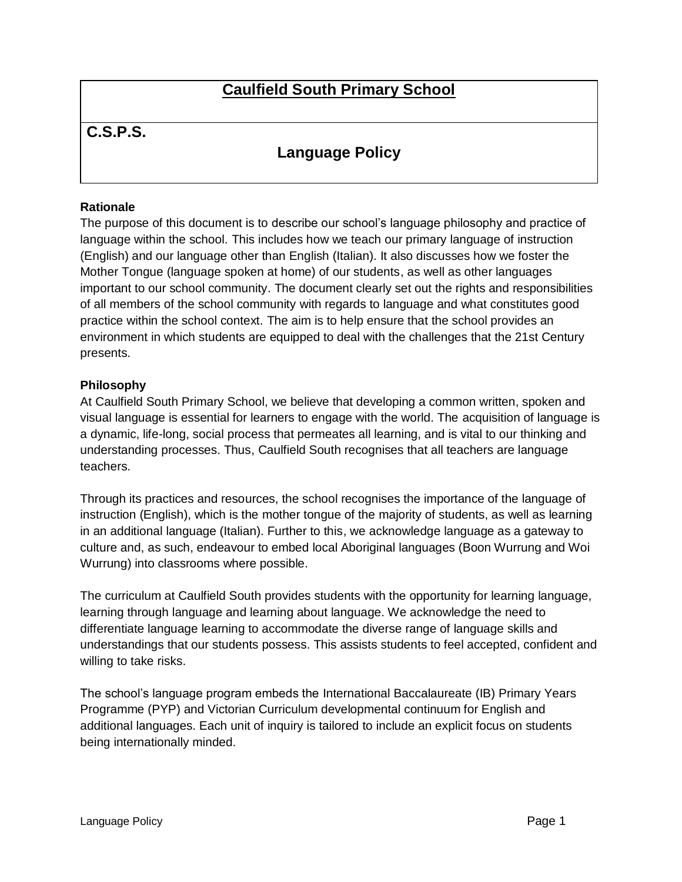# **Caulfield South Primary School**

## **C.S.P.S.**

# **Language Policy**

## **Rationale**

The purpose of this document is to describe our school's language philosophy and practice of language within the school. This includes how we teach our primary language of instruction (English) and our language other than English (Italian). It also discusses how we foster the Mother Tongue (language spoken at home) of our students, as well as other languages important to our school community. The document clearly set out the rights and responsibilities of all members of the school community with regards to language and what constitutes good practice within the school context. The aim is to help ensure that the school provides an environment in which students are equipped to deal with the challenges that the 21st Century presents.

## **Philosophy**

At Caulfield South Primary School, we believe that developing a common written, spoken and visual language is essential for learners to engage with the world. The acquisition of language is a dynamic, life-long, social process that permeates all learning, and is vital to our thinking and understanding processes. Thus, Caulfield South recognises that all teachers are language teachers.

Through its practices and resources, the school recognises the importance of the language of instruction (English), which is the mother tongue of the majority of students, as well as learning in an additional language (Italian). Further to this, we acknowledge language as a gateway to culture and, as such, endeavour to embed local Aboriginal languages (Boon Wurrung and Woi Wurrung) into classrooms where possible.

The curriculum at Caulfield South provides students with the opportunity for learning language, learning through language and learning about language. We acknowledge the need to differentiate language learning to accommodate the diverse range of language skills and understandings that our students possess. This assists students to feel accepted, confident and willing to take risks.

The school's language program embeds the International Baccalaureate (IB) Primary Years Programme (PYP) and Victorian Curriculum developmental continuum for English and additional languages. Each unit of inquiry is tailored to include an explicit focus on students being internationally minded.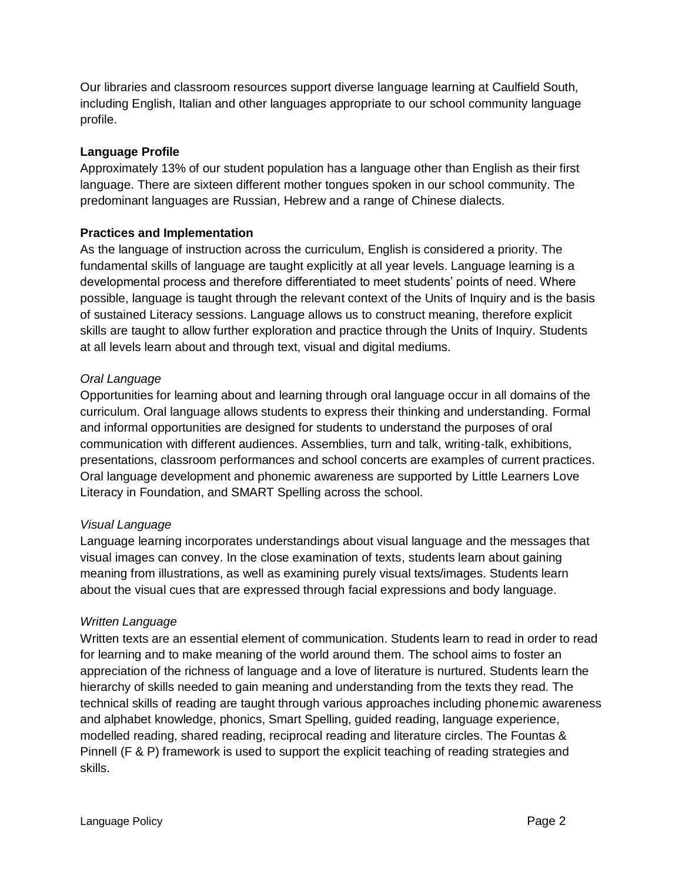Our libraries and classroom resources support diverse language learning at Caulfield South, including English, Italian and other languages appropriate to our school community language profile.

## **Language Profile**

Approximately 13% of our student population has a language other than English as their first language. There are sixteen different mother tongues spoken in our school community. The predominant languages are Russian, Hebrew and a range of Chinese dialects.

## **Practices and Implementation**

As the language of instruction across the curriculum, English is considered a priority. The fundamental skills of language are taught explicitly at all year levels. Language learning is a developmental process and therefore differentiated to meet students' points of need. Where possible, language is taught through the relevant context of the Units of Inquiry and is the basis of sustained Literacy sessions. Language allows us to construct meaning, therefore explicit skills are taught to allow further exploration and practice through the Units of Inquiry. Students at all levels learn about and through text, visual and digital mediums.

## *Oral Language*

Opportunities for learning about and learning through oral language occur in all domains of the curriculum. Oral language allows students to express their thinking and understanding. Formal and informal opportunities are designed for students to understand the purposes of oral communication with different audiences. Assemblies, turn and talk, writing-talk, exhibitions, presentations, classroom performances and school concerts are examples of current practices. Oral language development and phonemic awareness are supported by Little Learners Love Literacy in Foundation, and SMART Spelling across the school.

#### *Visual Language*

Language learning incorporates understandings about visual language and the messages that visual images can convey. In the close examination of texts, students learn about gaining meaning from illustrations, as well as examining purely visual texts/images. Students learn about the visual cues that are expressed through facial expressions and body language.

## *Written Language*

Written texts are an essential element of communication. Students learn to read in order to read for learning and to make meaning of the world around them. The school aims to foster an appreciation of the richness of language and a love of literature is nurtured. Students learn the hierarchy of skills needed to gain meaning and understanding from the texts they read. The technical skills of reading are taught through various approaches including phonemic awareness and alphabet knowledge, phonics, Smart Spelling, guided reading, language experience, modelled reading, shared reading, reciprocal reading and literature circles. The Fountas & Pinnell (F & P) framework is used to support the explicit teaching of reading strategies and skills.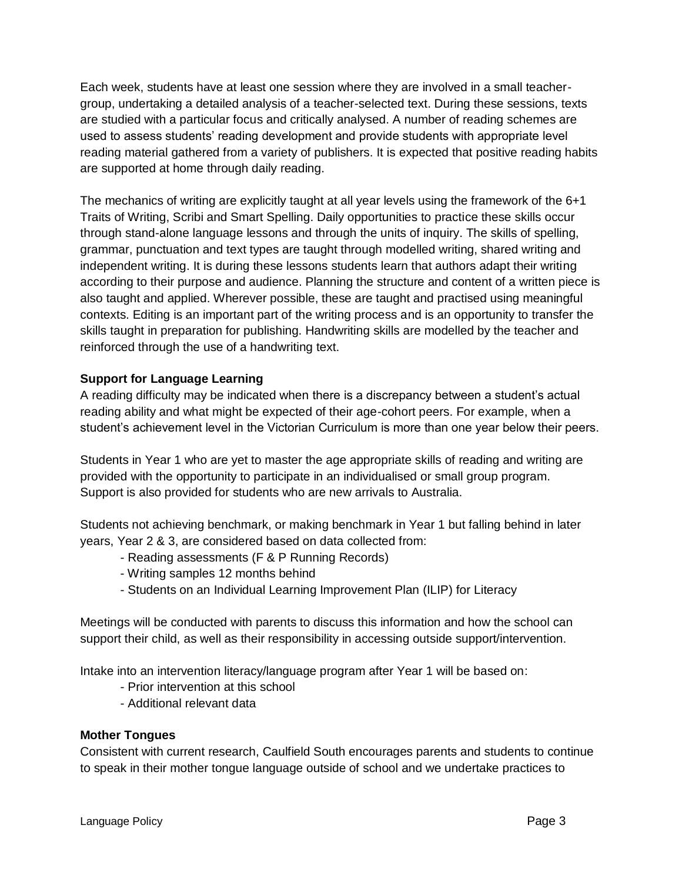Each week, students have at least one session where they are involved in a small teachergroup, undertaking a detailed analysis of a teacher-selected text. During these sessions, texts are studied with a particular focus and critically analysed. A number of reading schemes are used to assess students' reading development and provide students with appropriate level reading material gathered from a variety of publishers. It is expected that positive reading habits are supported at home through daily reading.

The mechanics of writing are explicitly taught at all year levels using the framework of the 6+1 Traits of Writing, Scribi and Smart Spelling. Daily opportunities to practice these skills occur through stand-alone language lessons and through the units of inquiry. The skills of spelling, grammar, punctuation and text types are taught through modelled writing, shared writing and independent writing. It is during these lessons students learn that authors adapt their writing according to their purpose and audience. Planning the structure and content of a written piece is also taught and applied. Wherever possible, these are taught and practised using meaningful contexts. Editing is an important part of the writing process and is an opportunity to transfer the skills taught in preparation for publishing. Handwriting skills are modelled by the teacher and reinforced through the use of a handwriting text.

## **Support for Language Learning**

A reading difficulty may be indicated when there is a discrepancy between a student's actual reading ability and what might be expected of their age-cohort peers. For example, when a student's achievement level in the Victorian Curriculum is more than one year below their peers.

Students in Year 1 who are yet to master the age appropriate skills of reading and writing are provided with the opportunity to participate in an individualised or small group program. Support is also provided for students who are new arrivals to Australia.

Students not achieving benchmark, or making benchmark in Year 1 but falling behind in later years, Year 2 & 3, are considered based on data collected from:

- Reading assessments (F & P Running Records)
- Writing samples 12 months behind
- Students on an Individual Learning Improvement Plan (ILIP) for Literacy

Meetings will be conducted with parents to discuss this information and how the school can support their child, as well as their responsibility in accessing outside support/intervention.

Intake into an intervention literacy/language program after Year 1 will be based on:

- Prior intervention at this school
- Additional relevant data

#### **Mother Tongues**

Consistent with current research, Caulfield South encourages parents and students to continue to speak in their mother tongue language outside of school and we undertake practices to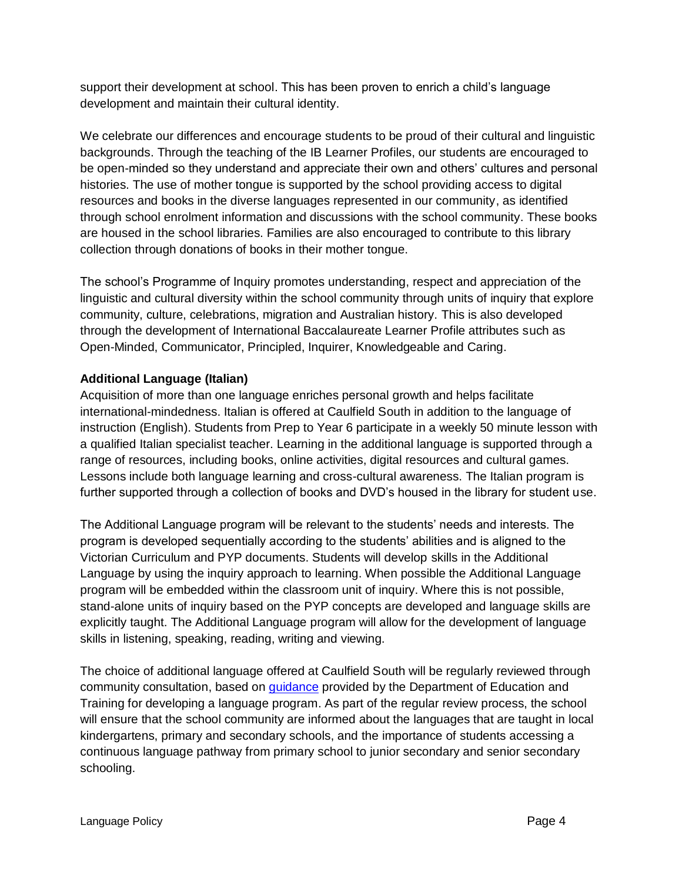support their development at school. This has been proven to enrich a child's language development and maintain their cultural identity.

We celebrate our differences and encourage students to be proud of their cultural and linguistic backgrounds. Through the teaching of the IB Learner Profiles, our students are encouraged to be open-minded so they understand and appreciate their own and others' cultures and personal histories. The use of mother tongue is supported by the school providing access to digital resources and books in the diverse languages represented in our community, as identified through school enrolment information and discussions with the school community. These books are housed in the school libraries. Families are also encouraged to contribute to this library collection through donations of books in their mother tongue.

The school's Programme of Inquiry promotes understanding, respect and appreciation of the linguistic and cultural diversity within the school community through units of inquiry that explore community, culture, celebrations, migration and Australian history. This is also developed through the development of International Baccalaureate Learner Profile attributes such as Open-Minded, Communicator, Principled, Inquirer, Knowledgeable and Caring.

## **Additional Language (Italian)**

Acquisition of more than one language enriches personal growth and helps facilitate international-mindedness. Italian is offered at Caulfield South in addition to the language of instruction (English). Students from Prep to Year 6 participate in a weekly 50 minute lesson with a qualified Italian specialist teacher. Learning in the additional language is supported through a range of resources, including books, online activities, digital resources and cultural games. Lessons include both language learning and cross-cultural awareness. The Italian program is further supported through a collection of books and DVD's housed in the library for student use.

The Additional Language program will be relevant to the students' needs and interests. The program is developed sequentially according to the students' abilities and is aligned to the Victorian Curriculum and PYP documents. Students will develop skills in the Additional Language by using the inquiry approach to learning. When possible the Additional Language program will be embedded within the classroom unit of inquiry. Where this is not possible, stand-alone units of inquiry based on the PYP concepts are developed and language skills are explicitly taught. The Additional Language program will allow for the development of language skills in listening, speaking, reading, writing and viewing.

The choice of additional language offered at Caulfield South will be regularly reviewed through community consultation, based on [guidance](https://www.education.vic.gov.au/Documents/school/teachers/teachingresources/discipline/languages/startlangprogguide.pdf) provided by the Department of Education and Training for developing a language program. As part of the regular review process, the school will ensure that the school community are informed about the languages that are taught in local kindergartens, primary and secondary schools, and the importance of students accessing a continuous language pathway from primary school to junior secondary and senior secondary schooling.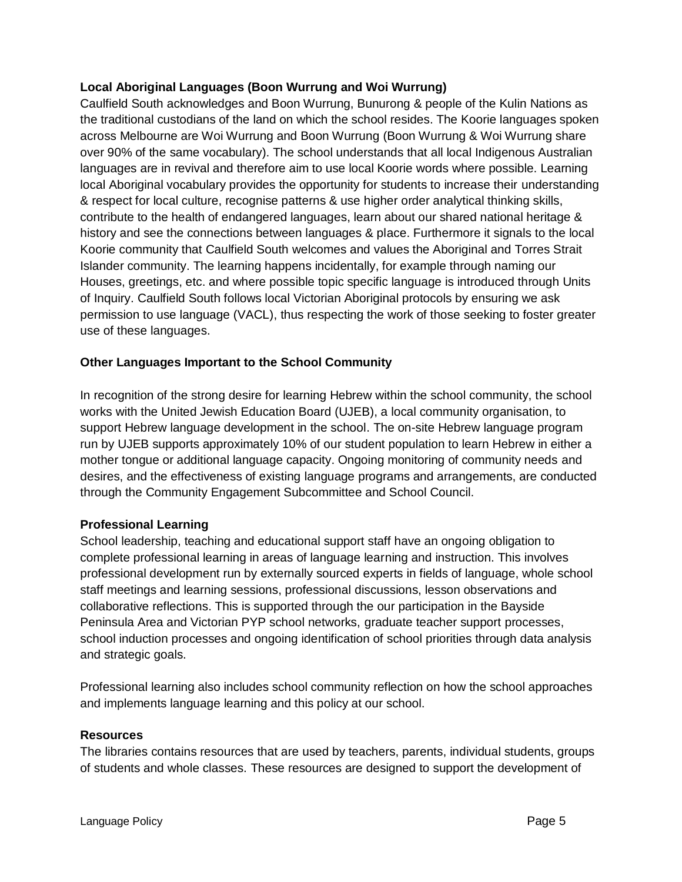## **Local Aboriginal Languages (Boon Wurrung and Woi Wurrung)**

Caulfield South acknowledges and Boon Wurrung, Bunurong & people of the Kulin Nations as the traditional custodians of the land on which the school resides. The Koorie languages spoken across Melbourne are Woi Wurrung and Boon Wurrung (Boon Wurrung & Woi Wurrung share over 90% of the same vocabulary). The school understands that all local Indigenous Australian languages are in revival and therefore aim to use local Koorie words where possible. Learning local Aboriginal vocabulary provides the opportunity for students to increase their understanding & respect for local culture, recognise patterns & use higher order analytical thinking skills, contribute to the health of endangered languages, learn about our shared national heritage & history and see the connections between languages & place. Furthermore it signals to the local Koorie community that Caulfield South welcomes and values the Aboriginal and Torres Strait Islander community. The learning happens incidentally, for example through naming our Houses, greetings, etc. and where possible topic specific language is introduced through Units of Inquiry. Caulfield South follows local Victorian Aboriginal protocols by ensuring we ask permission to use language (VACL), thus respecting the work of those seeking to foster greater use of these languages.

## **Other Languages Important to the School Community**

In recognition of the strong desire for learning Hebrew within the school community, the school works with the United Jewish Education Board (UJEB), a local community organisation, to support Hebrew language development in the school. The on-site Hebrew language program run by UJEB supports approximately 10% of our student population to learn Hebrew in either a mother tongue or additional language capacity. Ongoing monitoring of community needs and desires, and the effectiveness of existing language programs and arrangements, are conducted through the Community Engagement Subcommittee and School Council.

#### **Professional Learning**

School leadership, teaching and educational support staff have an ongoing obligation to complete professional learning in areas of language learning and instruction. This involves professional development run by externally sourced experts in fields of language, whole school staff meetings and learning sessions, professional discussions, lesson observations and collaborative reflections. This is supported through the our participation in the Bayside Peninsula Area and Victorian PYP school networks, graduate teacher support processes, school induction processes and ongoing identification of school priorities through data analysis and strategic goals.

Professional learning also includes school community reflection on how the school approaches and implements language learning and this policy at our school.

#### **Resources**

The libraries contains resources that are used by teachers, parents, individual students, groups of students and whole classes. These resources are designed to support the development of